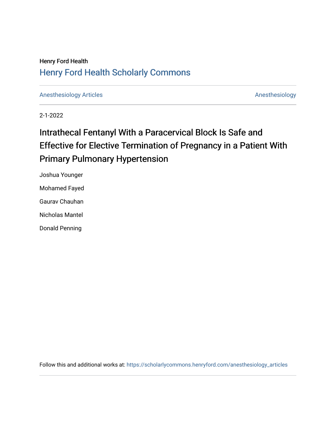# Henry Ford Health [Henry Ford Health Scholarly Commons](https://scholarlycommons.henryford.com/)

[Anesthesiology Articles](https://scholarlycommons.henryford.com/anesthesiology_articles) [Anesthesiology](https://scholarlycommons.henryford.com/anesthesiology) Articles

2-1-2022

# Intrathecal Fentanyl With a Paracervical Block Is Safe and Effective for Elective Termination of Pregnancy in a Patient With Primary Pulmonary Hypertension

Joshua Younger Mohamed Fayed Gaurav Chauhan Nicholas Mantel Donald Penning

Follow this and additional works at: [https://scholarlycommons.henryford.com/anesthesiology\\_articles](https://scholarlycommons.henryford.com/anesthesiology_articles?utm_source=scholarlycommons.henryford.com%2Fanesthesiology_articles%2F133&utm_medium=PDF&utm_campaign=PDFCoverPages)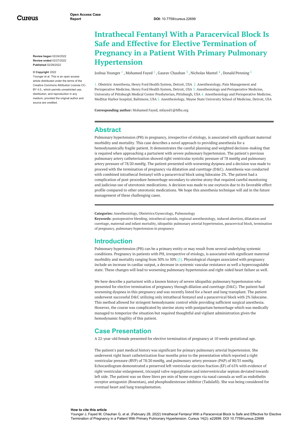Cureus

**Review began** 02/24/2022 **Review ended** 02/27/2022 **Published** 02/28/2022

#### **© Copyright** 2022

Younger et al. This is an open access article distributed under the terms of the Creative Commons Attribution License CC-BY 4.0., which permits unrestricted use. distribution, and reproduction in any medium, provided the original author and source are credited.

## **Intrathecal Fentanyl With a Paracervical Block Is Safe and Effective for Elective Termination of Pregnancy in a Patient With Primary Pulmonary Hypertension**

Joshua [Younger](https://www.cureus.com/users/307776-joshua-younger)  $^1$  , [Mohamed](https://www.cureus.com/users/290565-mohamed-fayed) Fayed  $^2$  , Gaurav [Chauhan](https://www.cureus.com/users/334883-gaurav-chauhan)  $^3$  , [Nicholas](https://www.cureus.com/users/335294-nicholas-m-mantel) Mantel  $^4$  , Donald [Penning](https://www.cureus.com/users/190436-donald-h-penning)  $^5$ 

1. Obstetric Anesthesia, Henry Ford Health System, Detroit, USA 2. Anesthesiology, Pain Management and Perioperative Medicine, Henry Ford Health System, Detroit, USA 3. Anesthesiology and Perioperative Medicine, University of Pittsburgh Medical Center Presbyterian, Pittsburgh, USA 4. Anesthesiology and Perioperative Medicine, MedStar Harbor hospital, Baltimore, USA 5. Anesthesiology, Wayne State University School of Medicine, Detroit, USA

**Corresponding author:** Mohamed Fayed, mfayed1@hfhs.org

#### **Abstract**

Pulmonary hypertension (PH) in pregnancy, irrespective of etiology, is associated with significant maternal morbidity and mortality. This case describes a novel approach to providing anesthesia for a hemodynamically fragile patient. It demonstrates the careful planning and weighted decision-making that is required when approaching a parturient with severe pulmonary hypertension. The patient's previous pulmonary artery catheterization showed right ventricular systolic pressure of 78 mmHg and pulmonary artery pressure of 78/20 mmHg. The patient presented with worsening dyspnea and a decision was made to proceed with the termination of pregnancy via dilatation and curettage (D&C). Anesthesia was conducted with combined intrathecal fentanyl with a paracervical block using lidocaine 2%. The patient had a complication of post-procedure hemorrhage secondary to uterine atony that required careful monitoring and judicious use of uterotonic medications. A decision was made to use oxytocin due to its favorable effect profile compared to other uterotonic medications. We hope this anesthesia technique will aid in the future management of these challenging cases.

**Categories:** Anesthesiology, Obstetrics/Gynecology, Pulmonology

**Keywords:** postoperative bleeding, intrathecal opioids, regional anesthesiology, induced abortion, dilatation and curettage, maternal and infant mortality, idiopathic pulmonary arterial hypertension, paracervical block, termination of pregnancy, pulmonary hypertension in pregnancy

#### **Introduction**

<span id="page-1-0"></span>Pulmonary hypertension (PH) can be a primary entity or may result from several underlying systemic conditions. Pregnancy in patients with PH, irrespective of etiology, is associated with significant maternal morbidity and mortality ranging from 30% to 50% [1]. Physiological changes associated with pregnancy include an increase in cardiac output, a decrease in systemic vascular resistance as well a hypercoagulable state. These changes will lead to worsening pulmonary hypertension and right-sided heart failure as well.

We here describe a parturient with a known history of severe idiopathic pulmonary hypertension who presented for elective termination of pregnancy through dilation and curettage (D&C). The patient had worsening dyspnea in this pregnancy and was recently listed for a heart and lung transplant. The patient underwent successful D&C utilizing only intrathecal fentanyl and a paracervical block with 2% lidocaine. This method allowed for stringent hemodynamic control while providing sufficient surgical anesthesia. However, the course was complicated by uterine atony with postpartum hemorrhage which was medically managed to temporize the situation but required thoughtful and vigilant administration given the hemodynamic fragility of this patient.

### **Case Presentation**

A 22-year-old female presented for elective termination of pregnancy at 10 weeks gestational age.

The patient's past medical history was significant for primary pulmonary arterial hypertension. She underwent right heart catheterization four months prior to the presentation which reported a right ventricular pressure (RVP) of 78/20 mmHg, and pulmonary artery pressure (PAP) of 80/35 mmHg. Echocardiogram demonstrated a preserved left ventricular ejection fraction (EF) of 65% with evidence of right ventricular enlargement, tricuspid valve regurgitation and interventricular septum deviated towards left side. The patient was on three liters per min of home oxygen via nasal cannula as well as endothelin receptor antagonist (Bosentan), and phosphodiesterase inhibitor (Tadalafil). She was being considered for eventual heart and lung transplantation.

#### **How to cite this article**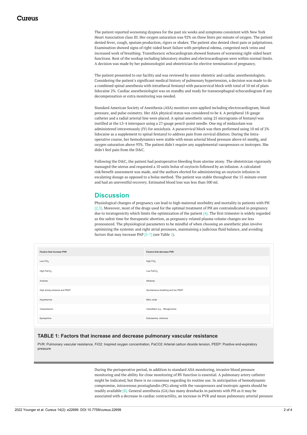The patient reported worsening dyspnea for the past six weeks and symptoms consistent with New York Heart Association class III. Her oxygen saturation was 92% on three liters per minute of oxygen. The patient denied fever, cough, sputum production, rigors or shakes. The patient also denied chest pain or palpitations. Examination showed signs of right-sided heart failure with peripheral edema, congested neck veins and increased work of breathing. Transthoracic echocardiogram showed features of worsening right-sided heart functions. Rest of the workup including laboratory studies and electrocardiogram were within normal limits. A decision was made by her pulmonologist and obstetrician for elective termination of pregnancy.

The patient presented to our facility and was reviewed by senior obstetric and cardiac anesthesiologists. Considering the patient's significant medical history of pulmonary hypertension, a decision was made to do a combined spinal anesthesia with intrathecal fentanyl with paracervical block with total of 10 ml of plain lidocaine 2%. Cardiac anesthesiologist was on standby and ready for transesophageal echocardiogram if any decompensation or extra monitoring was needed.

<span id="page-2-0"></span>Standard American Society of Anesthesia (ASA) monitors were applied including electrocardiogram, blood pressure, and pulse oximetry. Her ASA physical status was considered to be 4. A peripheral 18-gauge catheter and a radial arterial line were placed. A spinal anesthetic using 25 micrograms of fentanyl was instilled at the L3-4 interspace using a 27-gauge pencil-point needle. One mg of midazolam was administered intravenously (IV) for anxiolysis. A paracervical block was then preformed using 10 ml of 2% lidocaine as a supplement to spinal fentanyl to address pain from cervical dilation. During the Intraoperative course, her hemodynamics were stable with mean arterial blood pressure above 65 mmHg, and oxygen saturation above 93%. The patient didn't require any supplemental vasopressors or inotropes. She didn't feel pain from the D&C.

Following the D&C, the patient had postoperative bleeding from uterine atony. The obstetrician vigorously massaged the uterus and requested a 10 units bolus of oxytocin followed by an infusion. A calculated risk/benefit assessment was made, and the authors elected for administering an oxytocin infusion in escalating dosage as opposed to a bolus method. The patient was stable throughout the 15-minute event and had an uneventful recovery. Estimated blood loss was less than 500 ml.

### **Discussion**

Physiological changes of pregnancy can lead to high maternal morbidity and mortality in patients with PH [2,3]. Moreover, most of the drugs used for the optimal treatment of PH are contraindicated in pregnancy due to teratogenicity which limits the optimization of the patient [4]. The first trimester is widely regarded as the safest time for therapeutic abortion, as pregnancy-related plasma volume changes are less pronounced. The physiological parameters to be mindful of when choosing an anesthetic plan involve optimizing the systemic and right atrial pressures, maintaining a judicious fluid balance, and avoiding factors that may increase PAP [5-7] (see Table *[1](#page-1-0)*).

| <b>Factors that increase PVR</b> | <b>Factors that decrease PVR</b>   |
|----------------------------------|------------------------------------|
| Low $FiO2$                       | High FiO <sub>2</sub>              |
| High PaCO <sub>2</sub>           | Low PaCO <sub>2</sub>              |
| Acidosis                         | Alkalosis                          |
| High airway pressure and PEEP    | Spontaneous breathing and low PEEP |
| Hypothermia                      | Nitric oxide                       |
| Vasopressors                     | Vasodilator e.g., Nitroglycerine   |
| Epinephrine                      | Dobutamine, milrinone              |

#### **TABLE 1: Factors that increase and decrease pulmonary vascular resistance**

PVR: Pulmonary vascular resistance, FiO2: Inspired oxygen concentration, PaCO2: Arterial carbon dioxide tension, PEEP: Positive end-expiratory pressure

> During the perioperative period, in addition to standard ASA monitoring, invasive blood pressure monitoring and the ability for close monitoring of RV function is essential. A pulmonary artery catheter might be indicated, but there is no consensus regarding its routine use. In anticipation of hemodynamic compromise, intravenous prostaglandin (PG) along with the vasopressors and inotropic agents should be readily available [8]. General anesthesia (GA) has many drawbacks in patients with PH as it may be associated with a decrease in cardiac contractility, an increase in PVR and mean pulmonary arterial pressure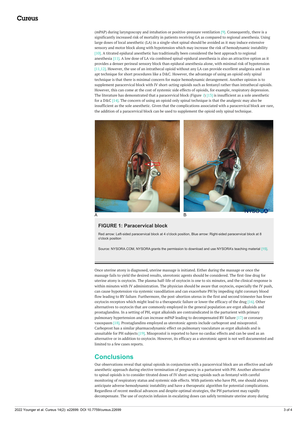(mPAP) during laryngoscopy and intubation or positive-pressure ventilation [9]. Consequently, there is a significantly increased risk of mortality in patients receiving GA as compared to regional anesthesia. Using large doses of local anesthetic (LA) in a single-shot spinal should be avoided as it may induce extensive sensory and motor block along with hypotension which may increase the risk of hemodynamic instability [10]. A titrated epidural anesthetic has traditionally been considered the best approach to regional anesthesia [11]. A low dose of LA via combined spinal-epidural anesthesia is also an attractive option as it provides a denser perineal sensory block than epidural anesthesia alone, with minimal risk of hypotension [11,12]. However, the use of an intrathecal opioid without any LA can provide excellent analgesia and is an apt technique for short procedures like a D&C. However, the advantage of using an opioid only spinal technique is that there is minimal concern for major hemodynamic derangement. Another opinion is to supplement paracervical block with IV short-acting opioids such as fentanyl rather than intrathecal opioids. However, this can come at the cost of systemic side effects of opioids, for example, respiratory depression. The literature has demonstrated that a paracervical block (Figure *[1](#page-2-0)*) [13] is insufficient as a sole anesthetic for a D&C [14]. The concern of using an opioid only spinal technique is that the analgesic may also be insufficient as the sole anesthetic. Given that the complications associated with a paracervical block are rare, the addition of a paracervical block can be used to supplement the opioid only spinal technique.



#### **FIGURE 1: Paracervical block**

Red arrow: Left-sided paracervical block at 4 o'clock position, Blue arrow: Right-sided paracervical block at 8 o'clock position

Source: NYSORA.COM, NYSORA grants the permission to download and use NYSORA's teaching material [15].

Once uterine atony is diagnosed, uterine massage is initiated. Either during the massage or once the massage fails to yield the desired results, uterotonic agents should be considered. The first-line drug for uterine atony is oxytocin. The plasma half-life of oxytocin is one to six minutes, and the clinical response is within minutes with IV administration. The physician should be aware that oxytocin, especially the IV push, can cause hypotension via systemic vasodilation and can exacerbate PH by impeding right coronary blood flow leading to RV failure. Furthermore, the post-abortion uterus in the first and second trimester has fewer oxytocin receptors which might lead to a therapeutic failure or lower the efficacy of the drug [16]. Other alternatives to oxytocin that are commonly employed in the general population are ergot alkaloids and prostaglandins. In a setting of PH, ergot alkaloids are contraindicated in the parturient with primary pulmonary hypertension and can increase mPAP leading to decompensated RV failure [17] or coronary vasospasm [18]. Prostaglandins employed as uterotonic agents include carboprost and misoprostol. Carboprost has a similar pharmacodynamic effect on pulmonary vasculature as ergot alkaloids and is unsuitable for PH subjects [19]. Misoprostol is reported to have no cardiac effects and can be used as an alternative or in addition to oxytocin. However, its efficacy as a uterotonic agent is not well documented and limited to a few cases reports.

### **Conclusions**

Our observations reveal that spinal opioids in conjunction with a paracervical block are an effective and safe anesthetic approach during elective termination of pregnancy in a parturient with PH. Another alternative to spinal opioids is to consider titrated doses of IV short-acting opioids such as fentanyl with careful monitoring of respiratory status and systemic side effects. With patients who have PH, one should always anticipate adverse hemodynamic instability and have a therapeutic algorithm for potential complications. Regardless of recent medical advances and despite optimal strategies, the PH parturient may rapidly decompensate. The use of oxytocin infusion in escalating doses can safely terminate uterine atony during